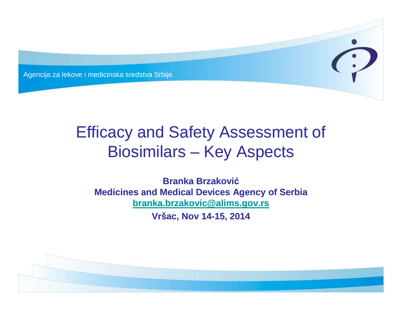

# Efficacy and Safety Assessment of Biosimilars – Key Aspects

**Branka Brzaković**<br> **Medicines and Medical Devices Agency of Serbia**<br>
<u>branka.brzakovic</u> **@alims.gov.rs**<br>
Vršac, Nov 14-15, 2014

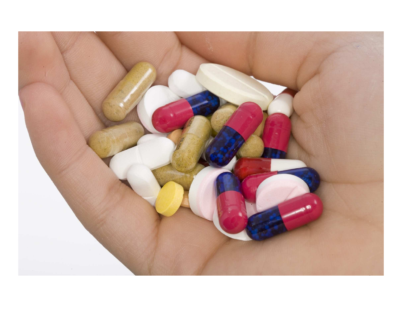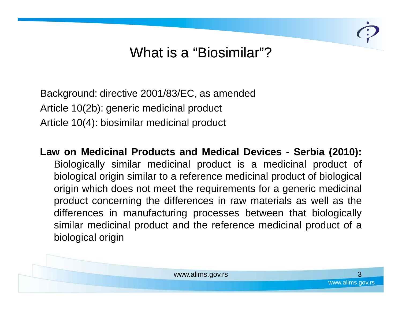What is a "Biosimilar"?

Background: directive 2001/83/EC, as amendedArticle 10(2b): generic medicinal productArticle 10(4): biosimilar medicinal product

**Law on Medicinal Products andMedicalDevices- Serbia(2010):** Biologically similar medicinal product is <sup>a</sup> medicinal product of biological origin similar to <sup>a</sup> reference medicinal product of biological origin which does not meet the requirements for <sup>a</sup> generic medicinal product concerning the differences in raw materials as well as the differences in manufacturing processes between that biologically similar medicinal product and the reference medicinal product of <sup>a</sup>biological origin

www.alims.gov.rs

3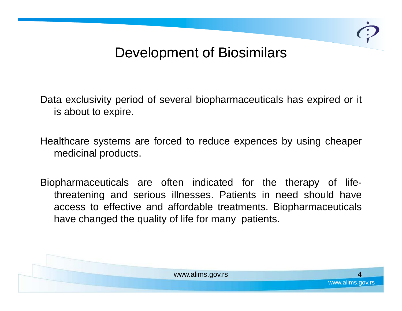#### Development of Biosimilars

Data exclusivity period of several biopharmaceuticals has expired or it is about to expire.

Healthcare systems are forced to reduce expences by using cheapermedicinal products.

Biopharmaceuticals are often indicated for the therapy of lifethreatening and serious illnesses. Patients in need should have access to effective and affordable treatments. Biopharmaceuticalshave changed the quality of life for many patients.

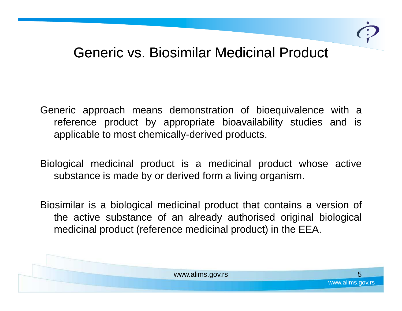#### Generic vs. Biosimilar Medicinal Product

Generic approach means demonstration of bioequivalence with <sup>a</sup> reference product by appropriate bioavailability studies and is applicable to most chemically-derived products.

Biological medicinal product is <sup>a</sup> medicinal product whose activesubstance is made by or derived form <sup>a</sup> living organism.

Biosimilar is <sup>a</sup> biological medicinal product that contains <sup>a</sup> version of the active substance of an already authorised original biological medicinal product (reference medicinal product) in the EEA.

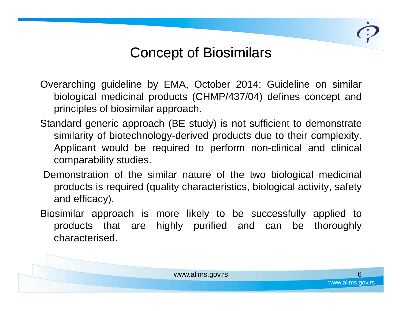## Concept of Biosimilars

- Overarching guideline by EMA, October 2014: Guideline on similarbiological medicinal products (CHMP/437/04) defines concept andprinciples of biosimilar approach.
- Standard generic approach (BE study) is not sufficient to demonstrate similarity of biotechnology-derived products due to their complexity. Applicant would be required to perform non-clinical and clinical comparability studies.
- Demonstration of the similar nature of the two biological medicinal products is required (quality characteristics, biological activity, safetyand efficacy).
- Biosimilar approach is more likely to be successfully applied to products that are highly purified and can be thoroughlycharacterised.

www.alims.gov.rss and the contract of the contract of the contract of the contract of the contract of the contract of the contract of the contract of the contract of the contract of the contract of the contract of the contract of the cont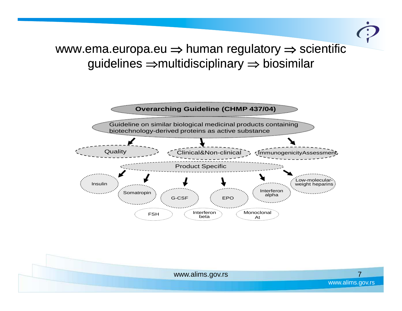## www.ema.europa.eu ⇒ human regulatory ⇒ scientific<br>nuidelines →multidisciplinary → biosimilar guidelines ⇒multidisciplinary <sup>⇒</sup> biosimilar



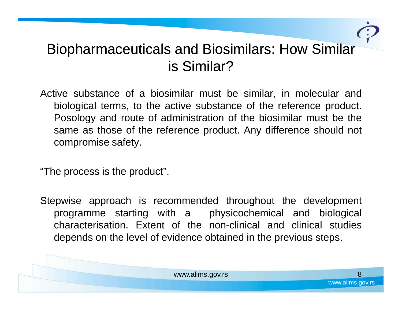## Biopharmaceuticals and Biosimilars: How Similar is Similar?

Active substance of <sup>a</sup> biosimilar must be similar, in molecular and biological terms, to the active substance of the reference product. Posology and route of administration of the biosimilar must be the same as those of the reference product. Any difference should not compromise safety.

"The process is the product".

Stepwise approach is recommended throughout the development programme starting with <sup>a</sup> physicochemical and biological characterisation. Extent of the non-clinical and clinical studiesdepends on the level of evidence obtained in the previous steps.

www.alims.gov.rs

8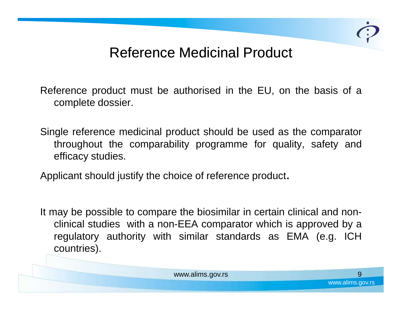#### Reference Medicinal Product

Reference product must be authorised in the EU, on the basis of <sup>a</sup>complete dossier.

Single reference medicinal product should be used as the comparatorthroughout the comparability programme for quality, safety andefficacy studies.

Applicant should justify the choice of reference product.

It may be possible to compare the biosimilar in certain clinical and nonclinical studies with <sup>a</sup> non-EEA comparator which is approved by <sup>a</sup> regulatory authority with similar standards as EMA (e.g. ICHcountries).

www.alims.gov.rs

9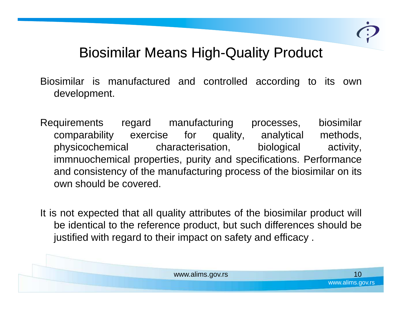# Biosimilar Means High-Quality Product

- Biosimilar is manufactured and controlled according to its owndevelopment.
- Requirements regard manufacturing processes, biosimilarcomparability exercise for quality, analytical methods, physicochemical characterisation, biological activity, immnuochemical properties, purity and specifications. Performance and consistency of the manufacturing process of the biosimilar on itsown should be covered.
- It is not expected that all quality attributes of the biosimilar product will be identical to the reference product, but such differences should bejustified with regard to their impact on safety and efficacy .

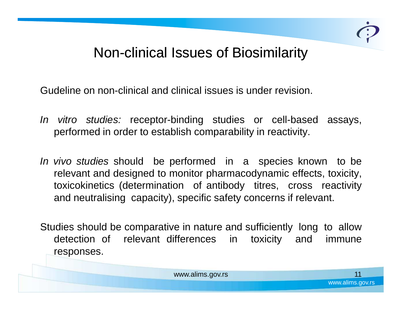## Non-clinical Issues of Biosimilarity

Gudeline on non-clinical and clinical issues is under revision.

- In vitro studies: receptor-binding studies or cell-based assays, performed in order to establish comparability in reactivity.
- In vivo studies should be performed in a species known to be relevant and designed to monitor pharmacodynamic effects, toxicity, toxicokinetics (determination of antibody titres, cross reactivityand neutralising capacity), specific safety concerns if relevant.

Studies should be comparative in nature and sufficiently long to allowimmune detection of relevant differences in toxicity and responses.

> www.alims.gov.rss <u>11 and 20 and 20 and 20 and 20 and 20 and 20 and 20 and 20 and 20 and 20 and 20 and 20 and 20 and 20 and 20</u>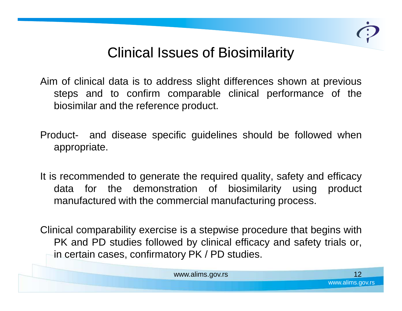#### Clinical Issues of Biosimilarity

- Aim of clinical data is to address slight differences shown at previous steps and to confirm comparable clinical performance of thebiosimilar and the reference product.
- Product- and disease specific guidelines should be followed whenappropriate.
- It is recommended to generate the required quality, safety and efficacy data for the demonstration of biosimilarity using product manufactured with the commercial manufacturing process.

Clinical comparability exercise is <sup>a</sup> stepwise procedure that begins with PK and PD studies followed by clinical efficacy and safety trials or, in certain cases, confirmatory PK / PD studies.

> www.alims.gov.rss <u>12</u>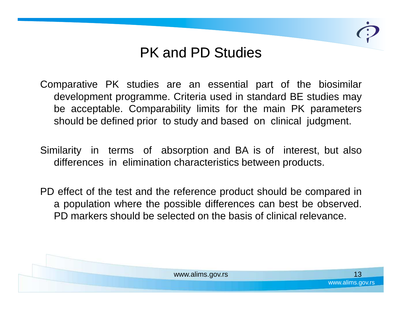### PK and PD Studies

Comparative PK studies are an essential part of the biosimilardevelopment programme. Criteria used in standard BE studies may be acceptable. Comparability limits for the main PK parametersshould be defined prior to study and based on clinical judgment.

Similarity in terms of absorption and BA is of interest, but also differences in elimination characteristics between products.

PD effect of the test and the reference product should be compared in <sup>a</sup> population where the possible differences can best be observed. PD markers should be selected on the basis of clinical relevance.

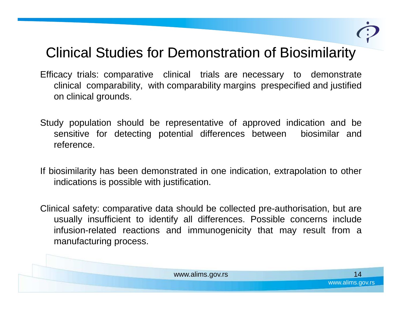## Clinical Studies for Demonstration of Biosimilarity

- Efficacy trials: comparative clinical trials are necessary to demonstrate clinical comparability, with comparability margins prespecified and justifiedon clinical grounds.
- Study population should be representative of approved indication and bebiosimilar and sensitive for detecting potential differences between reference.
- If biosimilarity has been demonstrated in one indication, extrapolation to otherindications is possible with justification.
- Clinical safety: comparative data should be collected pre-authorisation, but are usually insufficient to identify all differences. Possible concerns include infusion-related reactions and immunogenicity that may result from <sup>a</sup>manufacturing process.

www.alims.gov.rswww.alims.gov.rss and the contract of the contract of the contract of the contract of the contract of the contract of the contract of the contract of the contract of the contract of the contract of the contract of the contract of the cont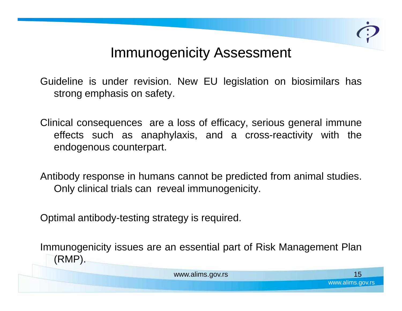#### Immunogenicity Assessment

Guideline is under revision. New EU legislation on biosimilars hasstrong emphasis on safety.

Clinical consequences are <sup>a</sup> loss of efficacy, serious general immune effects such as anaphylaxis, and <sup>a</sup> cross-reactivity with theendogenous counterpart.

Antibody response in humans cannot be predicted from animal studies. Only clinical trials can reveal immunogenicity.

Optimal antibody-testing strategy is required.

Immunogenicity issues are an essential part of Risk Management Plan(RMP).

www.alims.gov.rs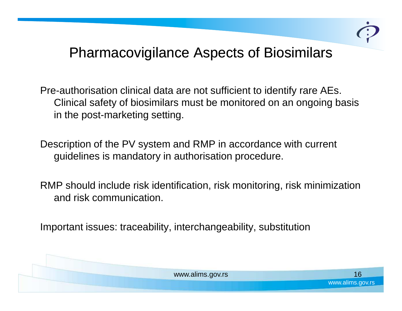## Pharmacovigilance Aspects of Biosimilars

Pre-authorisation clinical data are not sufficient to identify rare AEs. Clinical safety of biosimilars must be monitored on an ongoing basis in the post-marketing setting.

Description of the PV system and RMP in accordance with current guidelines is mandatory in authorisation procedure.

RMP should include risk identification, risk monitoring, risk minimizationand risk communication.

Important issues: traceability, interchangeability, substitution

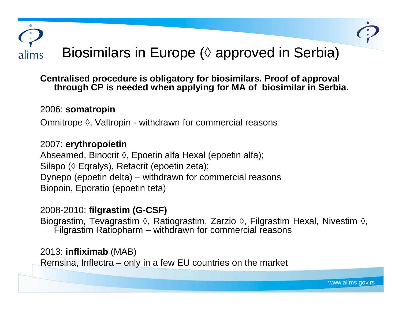## Biosimilars in Europe ( $\Diamond$  approved in Serbia) alims

#### **Centralised procedure is obligatory for biosimilars. Proof of approval through CP is needed when applying for MA of biosimilar in Serbia.**

2006: **somatropin**

Omnitrope ◊, Valtropin - withdrawn for commercial reasons

#### 2007: **erythropoietin**

Abseamed, Binocrit ◊, Epoetin alfa Hexal (epoetin alfa); Silapo (◊ Eqralys), Retacrit (epoetin zeta); Dynepo (epoetin delta) – withdrawn for commercial reasons Biopoin, Eporatio (epoetin teta)

2008-2010: **filgrastim (G-CSF)**Biograstim, Tevagrastim ◊, Ratiograstim, Zarzio ◊, Filgrastim Hexal, Nivestim ◊, Filgrastim Ratiopharm – withdrawn for commercial reasons

2013: **infliximab** (MAB) Remsina, Inflectra – only in a few EU countries on the market

www.alims.gov.rs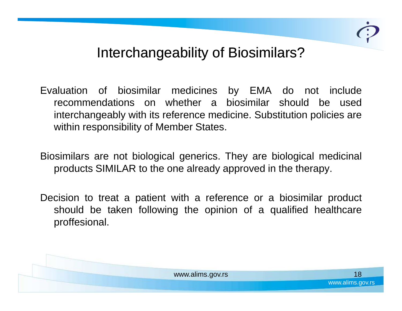#### Interchangeability of Biosimilars?

Evaluation of biosimilar medicines by EMA do not include recommendations on whether <sup>a</sup> biosimilar should be used interchangeably with its reference medicine. Substitution policies arewithin responsibility of Member States.

Biosimilars are not biological generics. They are biological medicinal products SIMILAR to the one already approved in the therapy.

Decision to treat <sup>a</sup> patient with <sup>a</sup> reference or <sup>a</sup> biosimilar product should be taken following the opinion of <sup>a</sup> qualified healthcareproffesional.